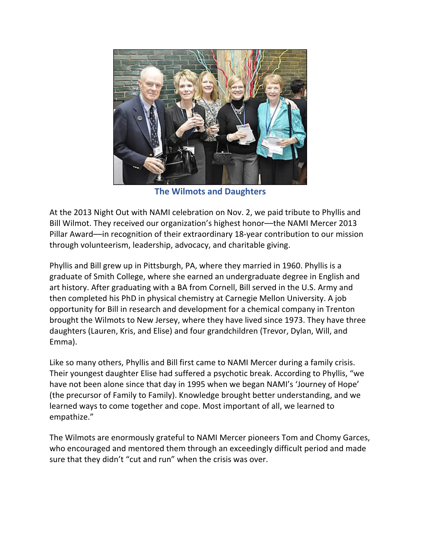

**The Wilmots and Daughters**

At the 2013 Night Out with NAMI celebration on Nov. 2, we paid tribute to Phyllis and Bill Wilmot. They received our organization's highest honor––the NAMI Mercer 2013 Pillar Award––in recognition of their extraordinary 18-year contribution to our mission through volunteerism, leadership, advocacy, and charitable giving.

Phyllis and Bill grew up in Pittsburgh, PA, where they married in 1960. Phyllis is a graduate of Smith College, where she earned an undergraduate degree in English and art history. After graduating with a BA from Cornell, Bill served in the U.S. Army and then completed his PhD in physical chemistry at Carnegie Mellon University. A job opportunity for Bill in research and development for a chemical company in Trenton brought the Wilmots to New Jersey, where they have lived since 1973. They have three daughters (Lauren, Kris, and Elise) and four grandchildren (Trevor, Dylan, Will, and Emma).

Like so many others, Phyllis and Bill first came to NAMI Mercer during a family crisis. Their youngest daughter Elise had suffered a psychotic break. According to Phyllis, "we have not been alone since that day in 1995 when we began NAMI's 'Journey of Hope' (the precursor of Family to Family). Knowledge brought better understanding, and we learned ways to come together and cope. Most important of all, we learned to empathize."

The Wilmots are enormously grateful to NAMI Mercer pioneers Tom and Chomy Garces, who encouraged and mentored them through an exceedingly difficult period and made sure that they didn't "cut and run" when the crisis was over.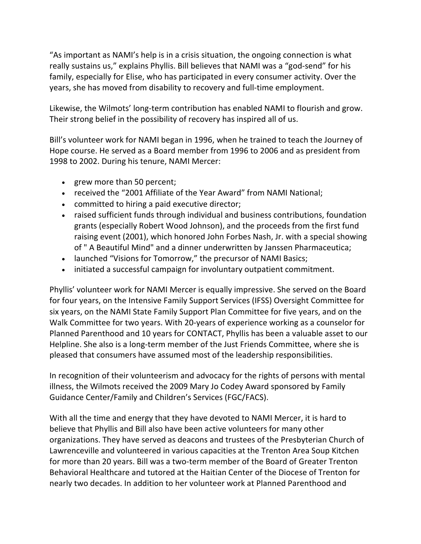"As important as NAMI's help is in a crisis situation, the ongoing connection is what really sustains us," explains Phyllis. Bill believes that NAMI was a "god-send" for his family, especially for Elise, who has participated in every consumer activity. Over the years, she has moved from disability to recovery and full-time employment.

Likewise, the Wilmots' long-term contribution has enabled NAMI to flourish and grow. Their strong belief in the possibility of recovery has inspired all of us.

Bill's volunteer work for NAMI began in 1996, when he trained to teach the Journey of Hope course. He served as a Board member from 1996 to 2006 and as president from 1998 to 2002. During his tenure, NAMI Mercer:

- grew more than 50 percent;
- received the "2001 Affiliate of the Year Award" from NAMI National;
- committed to hiring a paid executive director;
- raised sufficient funds through individual and business contributions, foundation grants (especially Robert Wood Johnson), and the proceeds from the first fund raising event (2001), which honored John Forbes Nash, Jr. with a special showing of " A Beautiful Mind" and a dinner underwritten by Janssen Pharmaceutica;
- launched "Visions for Tomorrow," the precursor of NAMI Basics;
- initiated a successful campaign for involuntary outpatient commitment.

Phyllis' volunteer work for NAMI Mercer is equally impressive. She served on the Board for four years, on the Intensive Family Support Services (IFSS) Oversight Committee for six years, on the NAMI State Family Support Plan Committee for five years, and on the Walk Committee for two years. With 20-years of experience working as a counselor for Planned Parenthood and 10 years for CONTACT, Phyllis has been a valuable asset to our Helpline. She also is a long-term member of the Just Friends Committee, where she is pleased that consumers have assumed most of the leadership responsibilities.

In recognition of their volunteerism and advocacy for the rights of persons with mental illness, the Wilmots received the 2009 Mary Jo Codey Award sponsored by Family Guidance Center/Family and Children's Services (FGC/FACS).

With all the time and energy that they have devoted to NAMI Mercer, it is hard to believe that Phyllis and Bill also have been active volunteers for many other organizations. They have served as deacons and trustees of the Presbyterian Church of Lawrenceville and volunteered in various capacities at the Trenton Area Soup Kitchen for more than 20 years. Bill was a two-term member of the Board of Greater Trenton Behavioral Healthcare and tutored at the Haitian Center of the Diocese of Trenton for nearly two decades. In addition to her volunteer work at Planned Parenthood and